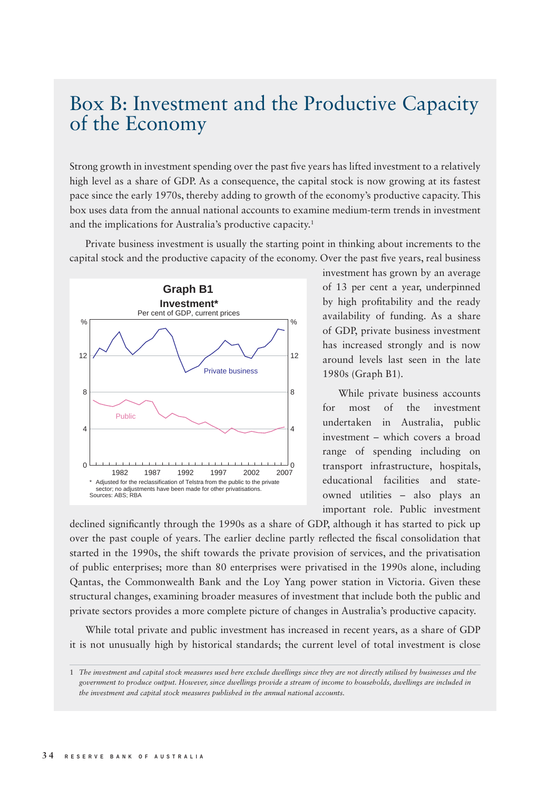## Box B: Investment and the Productive Capacity of the Economy

Strong growth in investment spending over the past five years has lifted investment to a relatively high level as a share of GDP. As a consequence, the capital stock is now growing at its fastest pace since the early 1970s, thereby adding to growth of the economy's productive capacity. This box uses data from the annual national accounts to examine medium-term trends in investment and the implications for Australia's productive capacity.1

Private business investment is usually the starting point in thinking about increments to the capital stock and the productive capacity of the economy. Over the past five years, real business



investment has grown by an average of 13 per cent a year, underpinned by high profitability and the ready availability of funding. As a share of GDP, private business investment has increased strongly and is now around levels last seen in the late 1980s (Graph B1).

While private business accounts for most of the investment undertaken in Australia, public investment – which covers a broad range of spending including on transport infrastructure, hospitals, educational facilities and stateowned utilities – also plays an important role. Public investment

declined significantly through the 1990s as a share of GDP, although it has started to pick up over the past couple of years. The earlier decline partly reflected the fiscal consolidation that started in the 1990s, the shift towards the private provision of services, and the privatisation of public enterprises; more than 80 enterprises were privatised in the 1990s alone, including Qantas, the Commonwealth Bank and the Loy Yang power station in Victoria. Given these structural changes, examining broader measures of investment that include both the public and private sectors provides a more complete picture of changes in Australia's productive capacity.

While total private and public investment has increased in recent years, as a share of GDP it is not unusually high by historical standards; the current level of total investment is close

<sup>1</sup> *The investment and capital stock measures used here exclude dwellings since they are not directly utilised by businesses and the government to produce output. However, since dwellings provide a stream of income to households, dwellings are included in the investment and capital stock measures published in the annual national accounts.*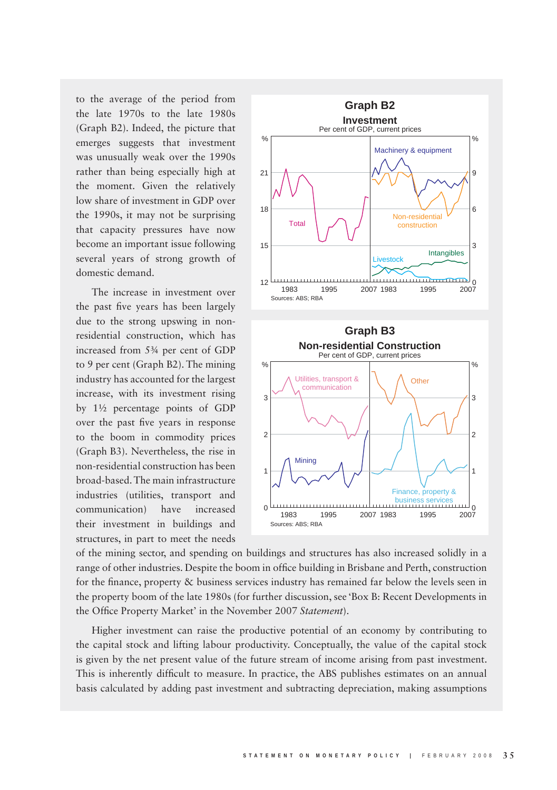to the average of the period from the late 1970s to the late 1980s (Graph B2). Indeed, the picture that emerges suggests that investment was unusually weak over the 1990s rather than being especially high at the moment. Given the relatively low share of investment in GDP over the 1990s, it may not be surprising that capacity pressures have now become an important issue following several years of strong growth of domestic demand.

The increase in investment over the past five years has been largely due to the strong upswing in nonresidential construction, which has increased from 5¾ per cent of GDP to 9 per cent (Graph B2). The mining industry has accounted for the largest increase, with its investment rising by 1½ percentage points of GDP over the past five years in response to the boom in commodity prices (Graph B3). Nevertheless, the rise in non-residential construction has been broad-based. The main infrastructure industries (utilities, transport and communication) have increased their investment in buildings and structures, in part to meet the needs



of the mining sector, and spending on buildings and structures has also increased solidly in a range of other industries. Despite the boom in office building in Brisbane and Perth, construction for the finance, property & business services industry has remained far below the levels seen in the property boom of the late 1980s (for further discussion, see 'Box B: Recent Developments in the Office Property Market' in the November 2007 Statement).

Higher investment can raise the productive potential of an economy by contributing to the capital stock and lifting labour productivity. Conceptually, the value of the capital stock is given by the net present value of the future stream of income arising from past investment. This is inherently difficult to measure. In practice, the ABS publishes estimates on an annual basis calculated by adding past investment and subtracting depreciation, making assumptions